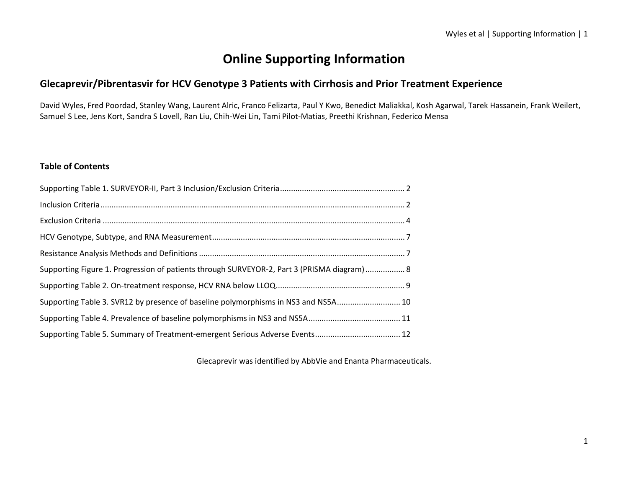# **Online Supporting Information**

# **Glecaprevir/Pibrentasvir for HCV Genotype 3 Patients with Cirrhosis and Prior Treatment Experience**

David Wyles, Fred Poordad, Stanley Wang, Laurent Alric, Franco Felizarta, Paul Y Kwo, Benedict Maliakkal, Kosh Agarwal, Tarek Hassanein, Frank Weilert, Samuel S Lee, Jens Kort, Sandra S Lovell, Ran Liu, Chih‐Wei Lin, Tami Pilot‐Matias, Preethi Krishnan, Federico Mensa

### **Table of Contents**

| Supporting Figure 1. Progression of patients through SURVEYOR-2, Part 3 (PRISMA diagram) 8 |  |
|--------------------------------------------------------------------------------------------|--|
|                                                                                            |  |
| Supporting Table 3. SVR12 by presence of baseline polymorphisms in NS3 and NS5A 10         |  |
|                                                                                            |  |
|                                                                                            |  |

Glecaprevir was identified by AbbVie and Enanta Pharmaceuticals.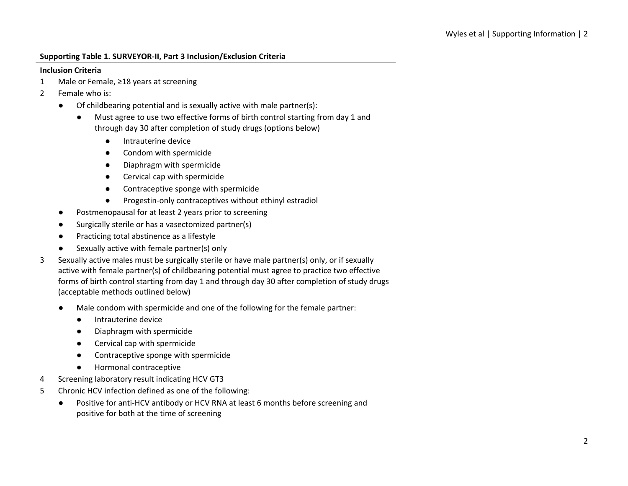#### **Supporting Table 1. SURVEYOR‐II, Part 3 Inclusion/Exclusion Criteria**

#### **Inclusion Criteria**

- 1 Male or Female, ≥18 years at screening
- 2 Female who is:
	- Of childbearing potential and is sexually active with male partner(s):
		- Must agree to use two effective forms of birth control starting from day 1 and through day 30 after completion of study drugs (options below)
			- Intrauterine device
			- Condom with spermicide
			- Diaphragm with spermicide
			- Cervical cap with spermicide
			- Contraceptive sponge with spermicide
			- Progestin-only contraceptives without ethinyl estradiol
	- Postmenopausal for at least 2 years prior to screening
	- Surgically sterile or has a vasectomized partner(s)
	- Practicing total abstinence as a lifestyle
	- Sexually active with female partner(s) only
- 3 Sexually active males must be surgically sterile or have male partner(s) only, or if sexually active with female partner(s) of childbearing potential must agree to practice two effective forms of birth control starting from day 1 and through day 30 after completion of study drugs (acceptable methods outlined below)
	- Male condom with spermicide and one of the following for the female partner:
		- Intrauterine device
		- Diaphragm with spermicide
		- Cervical cap with spermicide
		- Contraceptive sponge with spermicide
		- Hormonal contraceptive
- 4 Screening laboratory result indicating HCV GT3
- 5 Chronic HCV infection defined as one of the following:
	- Positive for anti-HCV antibody or HCV RNA at least 6 months before screening and positive for both at the time of screening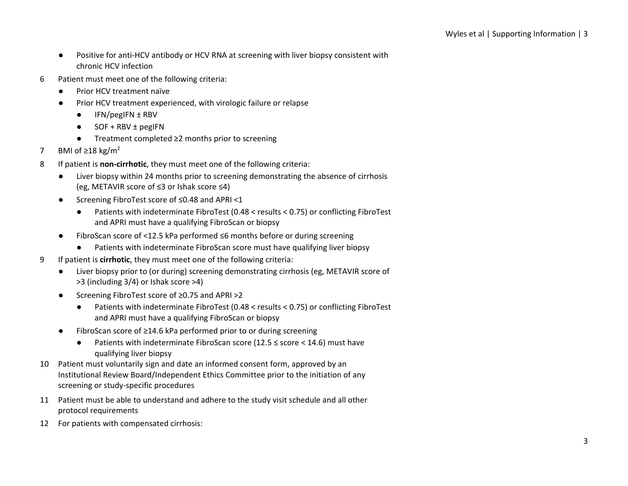- Positive for anti-HCV antibody or HCV RNA at screening with liver biopsy consistent with chronic HCV infection
- 6 Patient must meet one of the following criteria:
	- Prior HCV treatment naïve
	- Prior HCV treatment experienced, with virologic failure or relapse
		- $\bullet$  IFN/pegIFN  $\pm$  RBV
		- $\bullet$  SOF + RBV  $\pm$  pegIFN
		- Treatment completed ≥2 months prior to screening
- 7 BMI of  $\geq$ 18 kg/m<sup>2</sup>
- 8 If patient is **non‐cirrhotic**, they must meet one of the following criteria:
	- Liver biopsy within 24 months prior to screening demonstrating the absence of cirrhosis (eg, METAVIR score of ≤3 or Ishak score ≤4)
	- Screening FibroTest score of ≤0.48 and APRI <1
		- Patients with indeterminate FibroTest (0.48 < results < 0.75) or conflicting FibroTest and APRI must have a qualifying FibroScan or biopsy
	- FibroScan score of <12.5 kPa performed ≤6 months before or during screening
		- Patients with indeterminate FibroScan score must have qualifying liver biopsy
- 9 If patient is **cirrhotic**, they must meet one of the following criteria:
	- Liver biopsy prior to (or during) screening demonstrating cirrhosis (eg, METAVIR score of >3 (including 3/4) or Ishak score >4)
	- Screening FibroTest score of ≥0.75 and APRI >2
		- Patients with indeterminate FibroTest (0.48 < results < 0.75) or conflicting FibroTest and APRI must have a qualifying FibroScan or biopsy
	- FibroScan score of ≥14.6 kPa performed prior to or during screening
		- Patients with indeterminate FibroScan score (12.5 ≤ score < 14.6) must have qualifying liver biopsy
- 10 Patient must voluntarily sign and date an informed consent form, approved by an Institutional Review Board/Independent Ethics Committee prior to the initiation of any screening or study‐specific procedures
- 11 Patient must be able to understand and adhere to the study visit schedule and all other protocol requirements
- 12 For patients with compensated cirrhosis: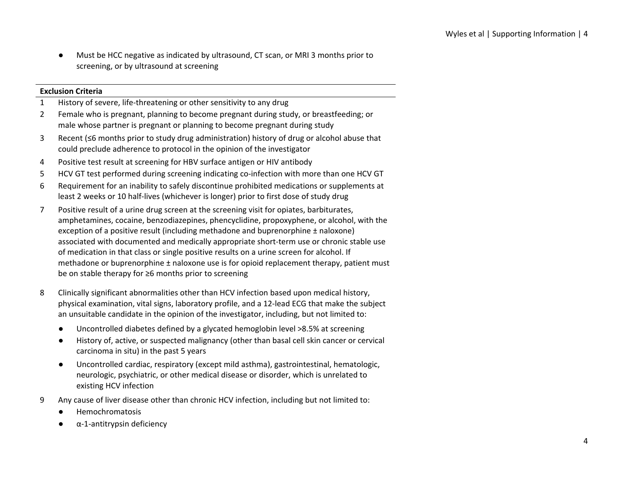Must be HCC negative as indicated by ultrasound, CT scan, or MRI 3 months prior to screening, or by ultrasound at screening

### **Exclusion Criteria**

- 1 History of severe, life‐threatening or other sensitivity to any drug
- 2 Female who is pregnant, planning to become pregnant during study, or breastfeeding; or male whose partner is pregnant or planning to become pregnant during study
- 3 Recent (≤6 months prior to study drug administration) history of drug or alcohol abuse that could preclude adherence to protocol in the opinion of the investigator
- 4 Positive test result at screening for HBV surface antigen or HIV antibody
- 5 HCV GT test performed during screening indicating co-infection with more than one HCV GT
- 6 Requirement for an inability to safely discontinue prohibited medications or supplements at least 2 weeks or 10 half‐lives (whichever is longer) prior to first dose of study drug
- 7 Positive result of a urine drug screen at the screening visit for opiates, barbiturates, amphetamines, cocaine, benzodiazepines, phencyclidine, propoxyphene, or alcohol, with the exception of a positive result (including methadone and buprenorphine ± naloxone) associated with documented and medically appropriate short‐term use or chronic stable use of medication in that class or single positive results on a urine screen for alcohol. If methadone or buprenorphine ± naloxone use is for opioid replacement therapy, patient must be on stable therapy for ≥6 months prior to screening
- 8 Clinically significant abnormalities other than HCV infection based upon medical history, physical examination, vital signs, laboratory profile, and a 12‐lead ECG that make the subject an unsuitable candidate in the opinion of the investigator, including, but not limited to:
	- Uncontrolled diabetes defined by a glycated hemoglobin level >8.5% at screening
	- History of, active, or suspected malignancy (other than basal cell skin cancer or cervical carcinoma in situ) in the past 5 years
	- Uncontrolled cardiac, respiratory (except mild asthma), gastrointestinal, hematologic, neurologic, psychiatric, or other medical disease or disorder, which is unrelated to existing HCV infection
- 9 Any cause of liver disease other than chronic HCV infection, including but not limited to:
	- Hemochromatosis
	- α-1-antitrypsin deficiency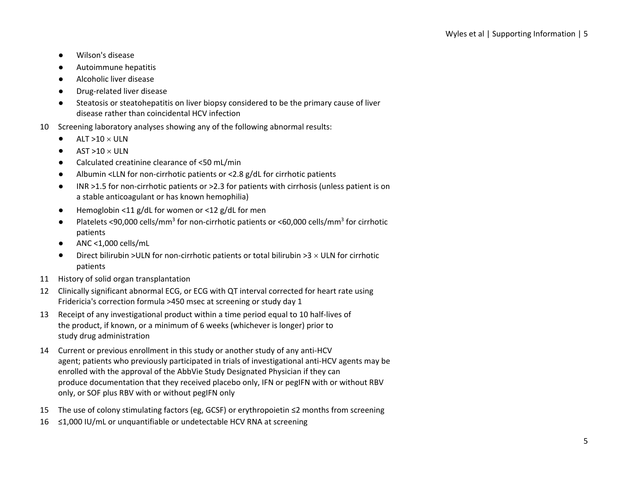- Wilson's disease
- Autoimmune hepatitis
- Alcoholic liver disease
- Drug-related liver disease
- Steatosis or steatohepatitis on liver biopsy considered to be the primary cause of liver disease rather than coincidental HCV infection
- 10 Screening laboratory analyses showing any of the following abnormal results:
	- $\bullet$  ALT >10  $\times$  ULN
	- $\bullet$  AST >10  $\times$  ULN
	- Calculated creatinine clearance of <50 mL/min
	- Albumin <LLN for non‐cirrhotic patients or <2.8 g/dL for cirrhotic patients
	- INR >1.5 for non-cirrhotic patients or >2.3 for patients with cirrhosis (unless patient is on a stable anticoagulant or has known hemophilia)
	- Hemoglobin <11 g/dL for women or <12 g/dL for men
	- Platelets <90,000 cells/mm<sup>3</sup> for non-cirrhotic patients or <60,000 cells/mm<sup>3</sup> for cirrhotic patients
	- $\bullet$  ANC <1,000 cells/mL
	- Direct bilirubin >ULN for non-cirrhotic patients or total bilirubin >3  $\times$  ULN for cirrhotic patients
- 11 History of solid organ transplantation
- 12 Clinically significant abnormal ECG, or ECG with QT interval corrected for heart rate using Fridericia's correction formula >450 msec at screening or study day 1
- 13 Receipt of any investigational product within a time period equal to 10 half‐lives of the product, if known, or a minimum of 6 weeks (whichever is longer) prior to study drug administration
- 14 Current or previous enrollment in this study or another study of any anti-HCV agent; patients who previously participated in trials of investigational anti-HCV agents may be enrolled with the approval of the AbbVie Study Designated Physician if they can produce documentation that they received placebo only, IFN or pegIFN with or without RBV only, or SOF plus RBV with or without pegIFN only
- 15 The use of colony stimulating factors (eg, GCSF) or erythropoietin ≤2 months from screening
- 16 ≤1,000 IU/mL or unquantifiable or undetectable HCV RNA at screening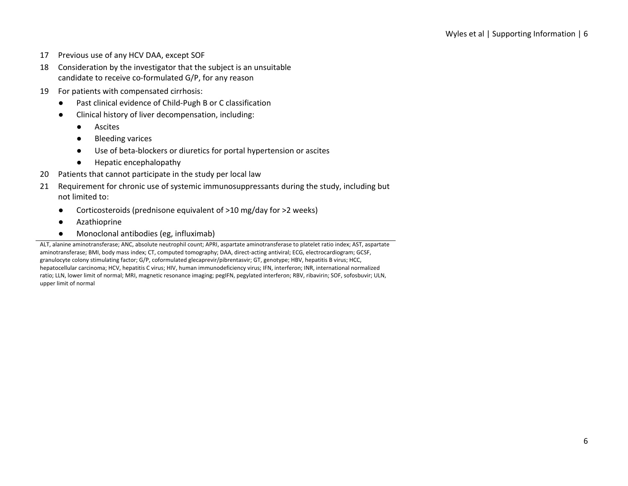- 17 Previous use of any HCV DAA, except SOF
- 18 Consideration by the investigator that the subject is an unsuitable candidate to receive co‐formulated G/P, for any reason
- 19 For patients with compensated cirrhosis:
	- Past clinical evidence of Child-Pugh B or C classification
	- Clinical history of liver decompensation, including:
		- Ascites
		- Bleeding varices
		- Use of beta-blockers or diuretics for portal hypertension or ascites
		- Hepatic encephalopathy
- 20 Patients that cannot participate in the study per local law
- 21 Requirement for chronic use of systemic immunosuppressants during the study, including but not limited to:
	- Corticosteroids (prednisone equivalent of >10 mg/day for >2 weeks)
	- Azathioprine
	- Monoclonal antibodies (eg, influximab)

ALT, alanine aminotransferase; ANC, absolute neutrophil count; APRI, aspartate aminotransferase to platelet ratio index; AST, aspartate aminotransferase; BMI, body mass index; CT, computed tomography; DAA, direct-acting antiviral; ECG, electrocardiogram; GCSF, granulocyte colony stimulating factor; G/P, coformulated glecaprevir/pibrentasvir; GT, genotype; HBV, hepatitis B virus; HCC, hepatocellular carcinoma; HCV, hepatitis C virus; HIV, human immunodeficiency virus; IFN, interferon; INR, international normalized ratio; LLN, lower limit of normal; MRI, magnetic resonance imaging; pegIFN, pegylated interferon; RBV, ribavirin; SOF, sofosbuvir; ULN, upper limit of normal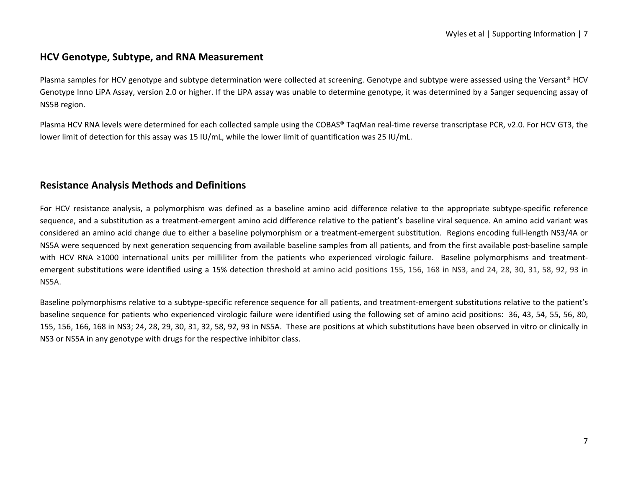## **HCV Genotype, Subtype, and RNA Measurement**

Plasma samples for HCV genotype and subtype determination were collected at screening. Genotype and subtype were assessed using the Versant® HCV Genotype Inno LiPA Assay, version 2.0 or higher. If the LiPA assay was unable to determine genotype, it was determined by a Sanger sequencing assay of NS5B region.

Plasma HCV RNA levels were determined for each collected sample using the COBAS® TaqMan real‐time reverse transcriptase PCR, v2.0. For HCV GT3, the lower limit of detection for this assay was 15 IU/mL, while the lower limit of quantification was 25 IU/mL.

# **Resistance Analysis Methods and Definitions**

For HCV resistance analysis, a polymorphism was defined as a baseline amino acid difference relative to the appropriate subtype-specific reference sequence, and a substitution as a treatment-emergent amino acid difference relative to the patient's baseline viral sequence. An amino acid variant was considered an amino acid change due to either a baseline polymorphism or a treatment‐emergent substitution. Regions encoding full‐length NS3/4A or NS5A were sequenced by next generation sequencing from available baseline samples from all patients, and from the first available post‐baseline sample with HCV RNA ≥1000 international units per milliliter from the patients who experienced virologic failure. Baseline polymorphisms and treatmentemergent substitutions were identified using a 15% detection threshold at amino acid positions 155, 156, 168 in NS3, and 24, 28, 30, 31, 58, 92, 93 in NS5A.

Baseline polymorphisms relative to a subtype-specific reference sequence for all patients, and treatment-emergent substitutions relative to the patient's baseline sequence for patients who experienced virologic failure were identified using the following set of amino acid positions: 36, 43, 54, 55, 56, 80, 155, 156, 166, 168 in NS3; 24, 28, 29, 30, 31, 32, 58, 92, 93 in NS5A. These are positions at which substitutions have been observed in vitro or clinically in NS3 or NS5A in any genotype with drugs for the respective inhibitor class.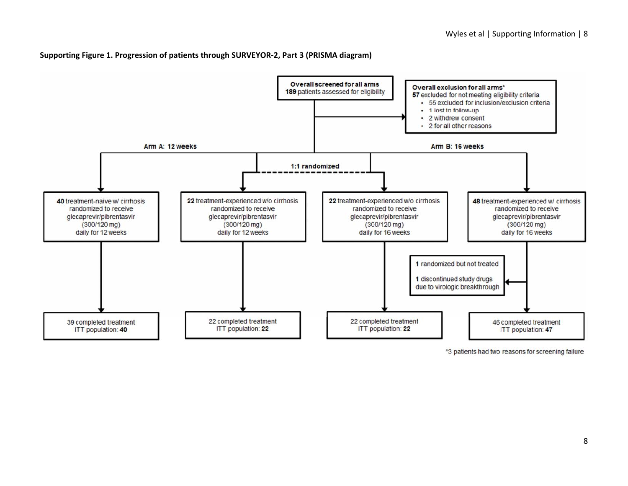#### **Supporting Figure 1. Progression of patients through SURVEYOR‐2, Part 3 (PRISMA diagram)**



\*3 patients had two reasons for screening failure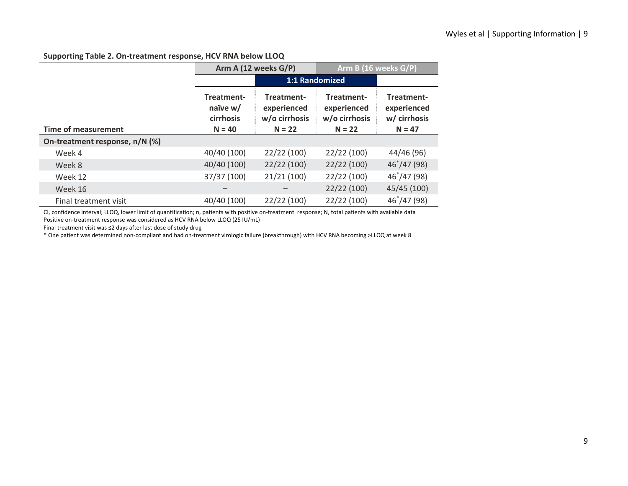### **Supporting Table 2. On‐treatment response, HCV RNA below LLOQ**

|                                 |                                                                                          | Arm A (12 weeks G/P) | Arm B (16 weeks G/P)                       |                                           |
|---------------------------------|------------------------------------------------------------------------------------------|----------------------|--------------------------------------------|-------------------------------------------|
|                                 |                                                                                          | 1:1 Randomized       |                                            |                                           |
|                                 | Treatment-<br>Treatment-<br>naïve w/<br>experienced<br>w/o cirrhosis<br><b>cirrhosis</b> |                      | Treatment-<br>experienced<br>w/o cirrhosis | Treatment-<br>experienced<br>w/ cirrhosis |
| Time of measurement<br>$N = 40$ |                                                                                          | $N = 22$             | $N = 22$                                   | $N = 47$                                  |
| On-treatment response, n/N (%)  |                                                                                          |                      |                                            |                                           |
| Week 4                          | 40/40 (100)                                                                              | 22/22 (100)          | 22/22 (100)                                | 44/46 (96)                                |
| Week 8                          | 40/40 (100)                                                                              | 22/22(100)           | 22/22(100)                                 | $46^{\degree}/47(98)$                     |
| Week 12                         | 37/37 (100)                                                                              | 21/21(100)           | 22/22 (100)                                | $46^{\degree}/47(98)$                     |
| Week 16                         |                                                                                          |                      | 22/22(100)                                 | 45/45 (100)                               |
| Final treatment visit           | 40/40 (100)                                                                              | 22/22 (100)          | 22/22 (100)                                | 46*/47 (98)                               |

CI, confidence interval; LLOQ, lower limit of quantification; n, patients with positive on‐treatment response; N, total patients with available data Positive on-treatment response was considered as HCV RNA below LLOQ (25 IU/mL)

Final treatment visit was ≤2 days after last dose of study drug

\* One patient was determined non‐compliant and had on‐treatment virologic failure (breakthrough) with HCV RNA becoming >LLOQ at week 8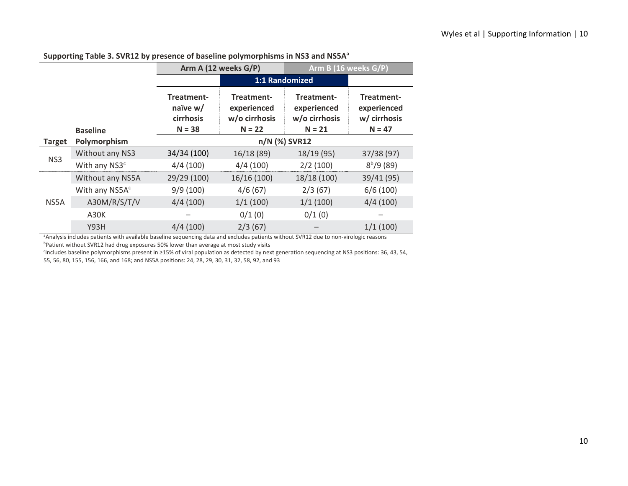|               |                                 | Arm A (12 weeks G/P)                            |                                                        | Arm B (16 weeks G/P)                                   |                                                       |  |  |
|---------------|---------------------------------|-------------------------------------------------|--------------------------------------------------------|--------------------------------------------------------|-------------------------------------------------------|--|--|
|               |                                 |                                                 | 1:1 Randomized                                         |                                                        |                                                       |  |  |
|               |                                 | Treatment-<br>naïve w/<br>cirrhosis<br>$N = 38$ | Treatment-<br>experienced<br>w/o cirrhosis<br>$N = 22$ | Treatment-<br>experienced<br>w/o cirrhosis<br>$N = 21$ | Treatment-<br>experienced<br>w/ cirrhosis<br>$N = 47$ |  |  |
| <b>Target</b> | <b>Baseline</b><br>Polymorphism | n/N (%) SVR12                                   |                                                        |                                                        |                                                       |  |  |
| NS3           | Without any NS3                 | 34/34 (100)                                     | 16/18(89)                                              | 18/19 (95)                                             | 37/38 (97)                                            |  |  |
|               | With any NS3 <sup>c</sup>       | 4/4(100)                                        | 4/4(100)                                               | 2/2(100)                                               | $8^{b}/9(89)$                                         |  |  |
| NS5A          | Without any NS5A                | 29/29 (100)                                     | 16/16(100)                                             | 18/18 (100)                                            | 39/41 (95)                                            |  |  |
|               | With any NS5A <sup>c</sup>      | 9/9(100)                                        | 4/6(67)                                                | 2/3(67)                                                | 6/6(100)                                              |  |  |
|               | A30M/R/S/T/V                    | 4/4(100)                                        | 1/1(100)                                               | 1/1(100)                                               | 4/4(100)                                              |  |  |
|               | A30K                            |                                                 | 0/1(0)                                                 | 0/1(0)                                                 |                                                       |  |  |
|               | Y93H                            | 4/4(100)                                        | 2/3(67)                                                |                                                        | 1/1(100)                                              |  |  |

### **Supporting Table 3. SVR12 by presence of baseline polymorphisms in NS3 and NS5Aa**

aAnalysis includes patients with available baseline sequencing data and excludes patients without SVR12 due to non-virologic reasons bPatient without SVR12 had drug exposures 50% lower than average at most study visits

cIncludes baseline polymorphisms present in ≥15% of viral population as detected by next generation sequencing at NS3 positions: 36, 43, 54, 55, 56, 80, 155, 156, 166, and 168; and NS5A positions: 24, 28, 29, 30, 31, 32, 58, 92, and 93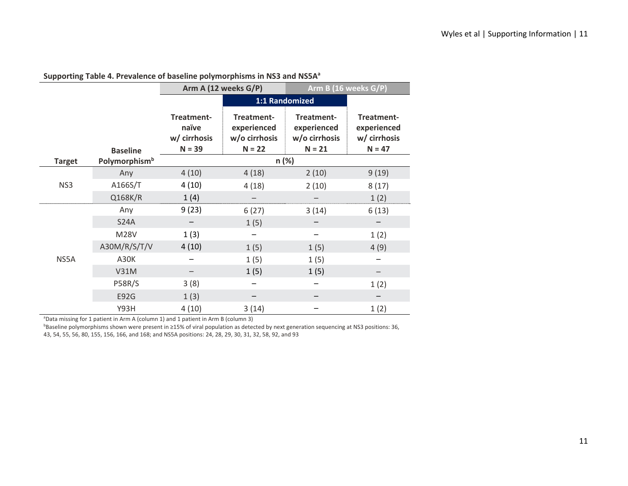|               |                           | Arm A (12 weeks G/P)                            |                                                        | Arm B (16 weeks G/P)                                   |                                                       |
|---------------|---------------------------|-------------------------------------------------|--------------------------------------------------------|--------------------------------------------------------|-------------------------------------------------------|
|               |                           |                                                 | 1:1 Randomized                                         |                                                        |                                                       |
|               | <b>Baseline</b>           | Treatment-<br>naïve<br>w/ cirrhosis<br>$N = 39$ | Treatment-<br>experienced<br>w/o cirrhosis<br>$N = 22$ | Treatment-<br>experienced<br>w/o cirrhosis<br>$N = 21$ | Treatment-<br>experienced<br>w/ cirrhosis<br>$N = 47$ |
| <b>Target</b> | Polymorphism <sup>b</sup> |                                                 | n (%)                                                  |                                                        |                                                       |
|               | Any                       | 4(10)                                           | 4(18)                                                  | 2(10)                                                  | 9(19)                                                 |
| NS3           | A166S/T                   | 4(10)                                           | 4(18)                                                  | 2(10)                                                  | 8(17)                                                 |
|               | Q168K/R                   | 1(4)                                            |                                                        |                                                        | 1(2)                                                  |
|               | Any                       | 9(23)                                           | 6(27)                                                  | 3(14)                                                  | 6(13)                                                 |
|               | <b>S24A</b>               |                                                 | 1(5)                                                   |                                                        |                                                       |
|               | <b>M28V</b>               | 1(3)                                            |                                                        |                                                        | 1(2)                                                  |
|               | A30M/R/S/T/V              | 4(10)                                           | 1(5)                                                   | 1(5)                                                   | 4(9)                                                  |
| NS5A          | A30K                      |                                                 | 1(5)                                                   | 1(5)                                                   |                                                       |
|               | <b>V31M</b>               |                                                 | 1(5)                                                   | 1(5)                                                   |                                                       |
|               | <b>P58R/S</b>             | 3(8)                                            |                                                        |                                                        | 1(2)                                                  |
|               | E92G                      | 1(3)                                            |                                                        |                                                        |                                                       |
|               | <b>Y93H</b>               | 4(10)                                           | 3(14)                                                  |                                                        | 1(2)                                                  |

### **Supporting Table 4. Prevalence of baseline polymorphisms in NS3 and NS5Aa**

<sup>a</sup>Data missing for 1 patient in Arm A (column 1) and 1 patient in Arm B (column 3)

bBaseline polymorphisms shown were present in ≥15% of viral population as detected by next generation sequencing at NS3 positions: 36, 43, 54, 55, 56, 80, 155, 156, 166, and 168; and NS5A positions: 24, 28, 29, 30, 31, 32, 58, 92, and 93